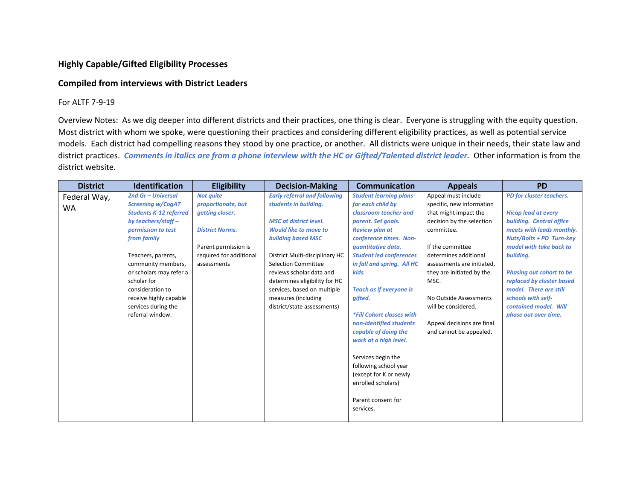## **Highly Capable/Gifted Eligibility Processes**

## **Compiled from interviews with District Leaders**

## For ALTF 7-9-19

Overview Notes: As we dig deeper into different districts and their practices, one thing is clear. Everyone is struggling with the equity question. Most district with whom we spoke, were questioning their practices and considering different eligibility practices, as well as potential service models. Each district had compelling reasons they stood by one practice, or another. All districts were unique in their needs, their state law and district practices. *Comments in italics are from a phone interview with the HC or Gifted/Talented district leader.* Other information is from the district website.

| <b>District</b>           | <b>Identification</b>                                                                                                                                                                                                                                                                                                        | <b>Eligibility</b>                                                                                                                                    | <b>Decision-Making</b>                                                                                                                                                                                                                                                                                                                                                       | <b>Communication</b>                                                                                                                                                                                                                                                                                                                                                                                                                                                                                                                         | <b>Appeals</b>                                                                                                                                                                                                                                                                                                                                 | <b>PD</b>                                                                                                                                                                                                                                                                                                                                                   |
|---------------------------|------------------------------------------------------------------------------------------------------------------------------------------------------------------------------------------------------------------------------------------------------------------------------------------------------------------------------|-------------------------------------------------------------------------------------------------------------------------------------------------------|------------------------------------------------------------------------------------------------------------------------------------------------------------------------------------------------------------------------------------------------------------------------------------------------------------------------------------------------------------------------------|----------------------------------------------------------------------------------------------------------------------------------------------------------------------------------------------------------------------------------------------------------------------------------------------------------------------------------------------------------------------------------------------------------------------------------------------------------------------------------------------------------------------------------------------|------------------------------------------------------------------------------------------------------------------------------------------------------------------------------------------------------------------------------------------------------------------------------------------------------------------------------------------------|-------------------------------------------------------------------------------------------------------------------------------------------------------------------------------------------------------------------------------------------------------------------------------------------------------------------------------------------------------------|
| Federal Way,<br><b>WA</b> | 2nd Gr - Universal<br><b>Screening w/CogAT</b><br><b>Students K-12 referred</b><br>by teachers/staff $-$<br>permission to test<br>from family<br>Teachers, parents,<br>community members,<br>or scholars may refer a<br>scholar for<br>consideration to<br>receive highly capable<br>services during the<br>referral window. | <b>Not quite</b><br>proportionate, but<br>getting closer.<br><b>District Norms.</b><br>Parent permission is<br>required for additional<br>assessments | <b>Early referral and following</b><br>students in building.<br><b>MSC</b> at district level.<br><b>Would like to move to</b><br><b>building based MSC</b><br>District Multi-disciplinary HC<br><b>Selection Committee</b><br>reviews scholar data and<br>determines eligibility for HC<br>services, based on multiple<br>measures (including<br>district/state assessments) | <b>Student learning plans-</b><br>for each child by<br>classroom teacher and<br>parent. Set goals.<br><b>Review plan at</b><br>conference times. Non-<br>quantitative data.<br><b>Student led conferences</b><br>in fall and spring. All HC<br>kids.<br><b>Teach as if everyone is</b><br>gifted.<br>*Fill Cohort classes with<br>non-identified students<br>capable of doing the<br>work at a high level.<br>Services begin the<br>following school year<br>(except for K or newly<br>enrolled scholars)<br>Parent consent for<br>services. | Appeal must include<br>specific, new information<br>that might impact the<br>decision by the selection<br>committee.<br>If the committee<br>determines additional<br>assessments are initiated,<br>they are initiated by the<br>MSC.<br>No Outside Assessments<br>will be considered.<br>Appeal decisions are final<br>and cannot be appealed. | PD for cluster teachers.<br><b>Hicap lead at every</b><br>building. Central office<br>meets with leads monthly.<br><b>Nuts/Bolts + PD Turn-key</b><br>model with take back to<br>building.<br><b>Phasing out cohort to be</b><br>replaced by cluster based<br>model. There are still<br>schools with self-<br>contained model. Will<br>phase out over time. |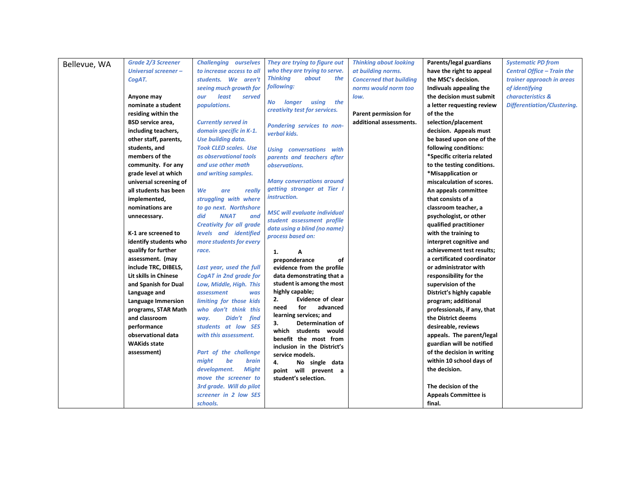| Bellevue, WA | <b>Grade 2/3 Screener</b> | <b>Challenging ourselves</b>                      | They are trying to figure out              | <b>Thinking about looking</b>  | Parents/legal guardians     | <b>Systematic PD from</b>          |
|--------------|---------------------------|---------------------------------------------------|--------------------------------------------|--------------------------------|-----------------------------|------------------------------------|
|              | Universal screener-       | to increase access to all                         | who they are trying to serve.              | at building norms.             | have the right to appeal    | <b>Central Office - Train the</b>  |
|              | CogAT.                    | students. We aren't                               | <b>Thinking</b><br>about<br>the            | <b>Concerned that building</b> | the MSC's decision.         | trainer approach in areas          |
|              |                           | seeing much growth for                            | following:                                 | norms would norm too           | Indivuals appealing the     | of identifying                     |
|              | Anyone may                | least<br>served<br>our                            |                                            | low.                           | the decision must submit    | characteristics &                  |
|              | nominate a student        | populations.                                      | the<br>No longer<br>using                  |                                | a letter requesting review  | <b>Differentiation/Clustering.</b> |
|              | residing within the       |                                                   | creativity test for services.              | Parent permission for          | of the the                  |                                    |
|              | <b>BSD</b> service area,  | <b>Currently served in</b>                        | Pondering services to non-                 | additional assessments.        | selection/placement         |                                    |
|              | including teachers,       | domain specific in K-1.                           | verbal kids.                               |                                | decision. Appeals must      |                                    |
|              | other staff, parents,     | Use building data.                                |                                            |                                | be based upon one of the    |                                    |
|              | students, and             | <b>Took CLED scales. Use</b>                      | <b>Using conversations with</b>            |                                | following conditions:       |                                    |
|              | members of the            | as observational tools                            | parents and teachers after                 |                                | *Specific criteria related  |                                    |
|              | community. For any        | and use other math                                | observations.                              |                                | to the testing conditions.  |                                    |
|              | grade level at which      | and writing samples.                              |                                            |                                | *Misapplication or          |                                    |
|              | universal screening of    |                                                   | <b>Many conversations around</b>           |                                | miscalculation of scores.   |                                    |
|              | all students has been     | We<br>really<br>are                               | getting stronger at Tier I                 |                                | An appeals committee        |                                    |
|              | implemented,              | struggling with where                             | instruction.                               |                                | that consists of a          |                                    |
|              | nominations are           | to go next. Northshore                            | <b>MSC will evaluate individual</b>        |                                | classroom teacher, a        |                                    |
|              | unnecessary.              | <b>NNAT</b><br>and<br>did                         | student assessment profile                 |                                | psychologist, or other      |                                    |
|              |                           | <b>Creativity for all grade</b>                   | data using a blind (no name)               |                                | qualified practitioner      |                                    |
|              | K-1 are screened to       | levels and identified                             | process based on:                          |                                | with the training to        |                                    |
|              | identify students who     | more students for every                           |                                            |                                | interpret cognitive and     |                                    |
|              | qualify for further       | race.                                             | 1.<br>Α                                    |                                | achievement test results;   |                                    |
|              | assessment. (may          |                                                   | preponderance<br>of                        |                                | a certificated coordinator  |                                    |
|              | include TRC, DIBELS,      | Last year, used the full                          | evidence from the profile                  |                                | or administrator with       |                                    |
|              | Lit skills in Chinese     | <b>CogAT</b> in 2nd grade for                     | data demonstrating that a                  |                                | responsibility for the      |                                    |
|              | and Spanish for Dual      | Low, Middle, High. This                           | student is among the most                  |                                | supervision of the          |                                    |
|              | Language and              | assessment<br>was                                 | highly capable;<br>Evidence of clear<br>2. |                                | District's highly capable   |                                    |
|              | Language Immersion        | limiting for those kids                           | advanced<br>need<br>for                    |                                | program; additional         |                                    |
|              | programs, STAR Math       | who don't think this                              | learning services; and                     |                                | professionals, if any, that |                                    |
|              | and classroom             | Didn't find<br>way.                               | Determination of<br>з.                     |                                | the District deems          |                                    |
|              | performance               | students at low SES                               | which<br>students would                    |                                | desireable, reviews         |                                    |
|              | observational data        | with this assessment.                             | benefit the most from                      |                                | appeals. The parent/legal   |                                    |
|              | <b>WAKids state</b>       |                                                   | inclusion in the District's                |                                | guardian will be notified   |                                    |
|              | assessment)               | Part of the challenge                             | service models.                            |                                | of the decision in writing  |                                    |
|              |                           | might<br>be<br>brain                              | 4.<br>No single data                       |                                | within 10 school days of    |                                    |
|              |                           | development.<br><b>Might</b>                      | point will prevent a                       |                                | the decision.               |                                    |
|              |                           | move the screener to                              | student's selection.                       |                                | The decision of the         |                                    |
|              |                           | 3rd grade. Will do pilot<br>screener in 2 low SES |                                            |                                |                             |                                    |
|              |                           |                                                   |                                            |                                | <b>Appeals Committee is</b> |                                    |
|              |                           | schools.                                          |                                            |                                | final.                      |                                    |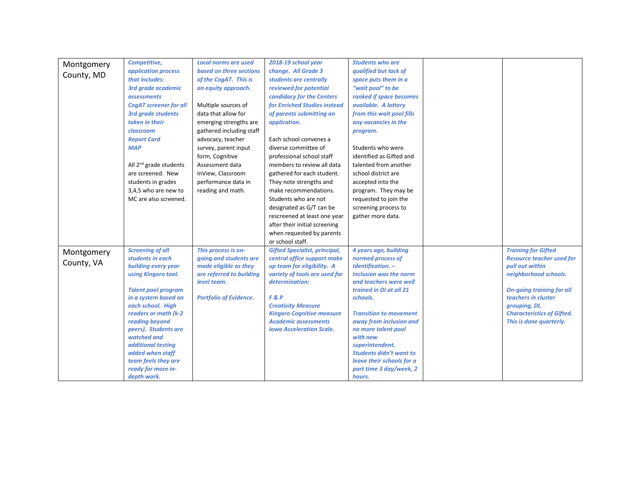| Montgomery<br>County, MD | Competitive,<br>application process<br>that includes:<br>3rd grade academic<br><i>assessments</i>                                                                                                                                                                                                                                                            | <b>Local norms are used</b><br>based on three sections<br>of the CogAT. This is<br>an equity approach.                                             | 2018-19 school year<br>change. All Grade 3<br>students are centrally<br>reviewed for potential<br>candidacy for the Centers                                                                                                                                                                                          | <b>Students who are</b><br>qualified but lack of<br>space puts them in a<br>"wait pool" to be<br>ranked if space becomes                                                                                                                                                                                                                                                                |                                                                                                                                                                                                                                                        |
|--------------------------|--------------------------------------------------------------------------------------------------------------------------------------------------------------------------------------------------------------------------------------------------------------------------------------------------------------------------------------------------------------|----------------------------------------------------------------------------------------------------------------------------------------------------|----------------------------------------------------------------------------------------------------------------------------------------------------------------------------------------------------------------------------------------------------------------------------------------------------------------------|-----------------------------------------------------------------------------------------------------------------------------------------------------------------------------------------------------------------------------------------------------------------------------------------------------------------------------------------------------------------------------------------|--------------------------------------------------------------------------------------------------------------------------------------------------------------------------------------------------------------------------------------------------------|
|                          | <b>CogAT screener for all</b><br><b>3rd grade students</b><br>taken in their<br>classroom<br><b>Report Card</b>                                                                                                                                                                                                                                              | Multiple sources of<br>data that allow for<br>emerging strengths are<br>gathered including staff<br>advocacy, teacher                              | for Enriched Studies instead<br>of parents submitting an<br>application.<br>Each school convenes a                                                                                                                                                                                                                   | available. A lottery<br>from this wait pool fills<br>any vacancies in the<br>program.                                                                                                                                                                                                                                                                                                   |                                                                                                                                                                                                                                                        |
|                          | <b>MAP</b><br>All $2^{nd}$ grade students<br>are screened. New<br>students in grades<br>3,4,5 who are new to<br>MC are also screened.                                                                                                                                                                                                                        | survey, parent input<br>form, Cognitive<br>Assessment data<br>InView, Classroom<br>performance data in<br>reading and math.                        | diverse committee of<br>professional school staff<br>members to review all data<br>gathered for each student.<br>They note strengths and<br>make recommendations.<br>Students who are not<br>designated as G/T can be<br>rescreened at least one year<br>after their initial screening<br>when requested by parents  | Students who were<br>identified as Gifted and<br>talented from another<br>school district are<br>accepted into the<br>program. They may be<br>requested to join the<br>screening process to<br>gather more data.                                                                                                                                                                        |                                                                                                                                                                                                                                                        |
| Montgomery<br>County, VA | <b>Screening of all</b><br>students in each<br>building every year<br>using Kingoro tool.<br><b>Talent pool program</b><br>in a system based on<br>each school. High<br>readers or math (k-2)<br>reading beyond<br>peers). Students are<br>watched and<br>additional testing<br>added when staff<br>team feels they are<br>ready for more in-<br>depth work. | This process is on-<br>going and students are<br>made eligible as they<br>are referred to building<br>level team.<br><b>Portfolio of Evidence.</b> | or school staff.<br><b>Gifted Specialist, principal,</b><br>central office support make<br>up team for eligibility. A<br>variety of tools are used for<br>determination:<br>F & P<br><b>Creativity Measure</b><br><b>Kingoro Cognitive measure</b><br><b>Academic assessments</b><br><b>Iowa Acceleration Scale.</b> | 4 years ago, building<br>normed process of<br>Identification. -<br><b>Inclusion was the norm</b><br>and teachers were well<br>trained in DI at all 21<br>schools.<br><b>Transition to movement</b><br>away from inclusion and<br>no more talent pool<br>with new<br>superintendent.<br><b>Students didn't want to</b><br>leave their schools for a<br>part time 3 day/week, 2<br>hours. | <b>Training for Gifted</b><br><b>Resource teacher used for</b><br>pull out within<br>neighborhood schools.<br><b>On-going training for all</b><br>teachers in cluster<br>grouping, DI,<br><b>Characteristics of Gifted.</b><br>This is done quarterly. |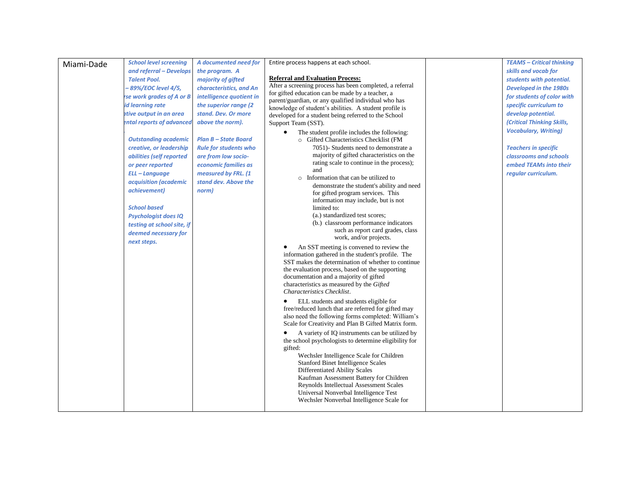|            | <b>School level screening</b> | A documented need for        | Entire process happens at each school.                                                                   | <b>TEAMS - Critical thinking</b> |
|------------|-------------------------------|------------------------------|----------------------------------------------------------------------------------------------------------|----------------------------------|
| Miami-Dade | and referral - Develops       | the program. A               |                                                                                                          | skills and vocab for             |
|            |                               |                              | <b>Referral and Evaluation Process:</b>                                                                  |                                  |
|            | <b>Talent Pool.</b>           | majority of gifted           | After a screening process has been completed, a referral                                                 | students with potential.         |
|            | - 89%/EOC level 4/5,          | characteristics, and An      | for gifted education can be made by a teacher, a                                                         | Developed in the 1980s           |
|            | rse work grades of A or B     | intelligence quotient in     | parent/guardian, or any qualified individual who has                                                     | for students of color with       |
|            | id learning rate              | the superior range (2)       | knowledge of student's abilities. A student profile is                                                   | specific curriculum to           |
|            | ative output in an area       | stand. Dev. Or more          | developed for a student being referred to the School                                                     | develop potential.               |
|            | ental reports of advanced     | above the norm).             | Support Team (SST).                                                                                      | (Critical Thinking Skills,       |
|            |                               |                              | The student profile includes the following:<br>$\bullet$                                                 | <b>Vocabulary, Writing)</b>      |
|            | <b>Outstanding academic</b>   | <b>Plan B - State Board</b>  | o Gifted Characteristics Checklist (FM                                                                   |                                  |
|            | creative, or leadership       | <b>Rule for students who</b> | 7051)- Students need to demonstrate a                                                                    | <b>Teachers in specific</b>      |
|            | abilities (self reported      | are from low socio-          | majority of gifted characteristics on the                                                                | classrooms and schools           |
|            | or peer reported              | economic families as         | rating scale to continue in the process);                                                                | embed TEAMs into their           |
|            | ELL-Language                  | measured by FRL. (1          | and                                                                                                      | regular curriculum.              |
|            | acquisition (academic         | stand dev. Above the         | o Information that can be utilized to                                                                    |                                  |
|            |                               |                              | demonstrate the student's ability and need                                                               |                                  |
|            | achievement)                  | norm)                        | for gifted program services. This                                                                        |                                  |
|            |                               |                              | information may include, but is not                                                                      |                                  |
|            | <b>School based</b>           |                              | limited to:                                                                                              |                                  |
|            | <b>Psychologist does IQ</b>   |                              | (a.) standardized test scores;                                                                           |                                  |
|            | testing at school site, if    |                              | (b.) classroom performance indicators                                                                    |                                  |
|            | deemed necessary for          |                              | such as report card grades, class<br>work, and/or projects.                                              |                                  |
|            | next steps.                   |                              |                                                                                                          |                                  |
|            |                               |                              | An SST meeting is convened to review the                                                                 |                                  |
|            |                               |                              | information gathered in the student's profile. The<br>SST makes the determination of whether to continue |                                  |
|            |                               |                              | the evaluation process, based on the supporting                                                          |                                  |
|            |                               |                              | documentation and a majority of gifted                                                                   |                                  |
|            |                               |                              | characteristics as measured by the Gifted                                                                |                                  |
|            |                               |                              | Characteristics Checklist.                                                                               |                                  |
|            |                               |                              | ELL students and students eligible for                                                                   |                                  |
|            |                               |                              | free/reduced lunch that are referred for gifted may                                                      |                                  |
|            |                               |                              | also need the following forms completed: William's                                                       |                                  |
|            |                               |                              | Scale for Creativity and Plan B Gifted Matrix form.                                                      |                                  |
|            |                               |                              | A variety of IQ instruments can be utilized by                                                           |                                  |
|            |                               |                              | the school psychologists to determine eligibility for                                                    |                                  |
|            |                               |                              | gifted:                                                                                                  |                                  |
|            |                               |                              | Wechsler Intelligence Scale for Children                                                                 |                                  |
|            |                               |                              | <b>Stanford Binet Intelligence Scales</b>                                                                |                                  |
|            |                               |                              | <b>Differentiated Ability Scales</b>                                                                     |                                  |
|            |                               |                              | Kaufman Assessment Battery for Children                                                                  |                                  |
|            |                               |                              | Reynolds Intellectual Assessment Scales                                                                  |                                  |
|            |                               |                              | Universal Nonverbal Intelligence Test                                                                    |                                  |
|            |                               |                              | Wechsler Nonverbal Intelligence Scale for                                                                |                                  |
|            |                               |                              |                                                                                                          |                                  |